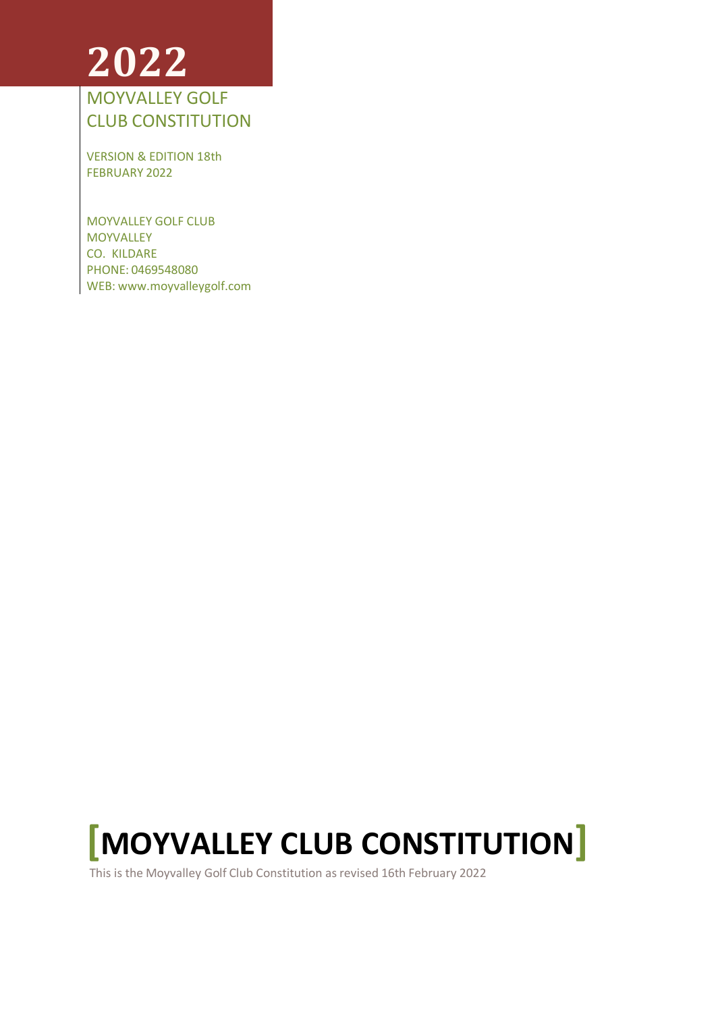# **2022**

# MOYVALLEY GOLF CLUB CONSTITUTION

VERSION & EDITION 18th FEBRUARY 2022

MOYVALLEY GOLF CLUB MOYVALLEY CO. KILDARE PHONE: 0469548080 WEB: [www.moyvalleygolf.com](http://www.moyvalleygolf.com/)



This is the Moyvalley Golf Club Constitution as revised 16th February 2022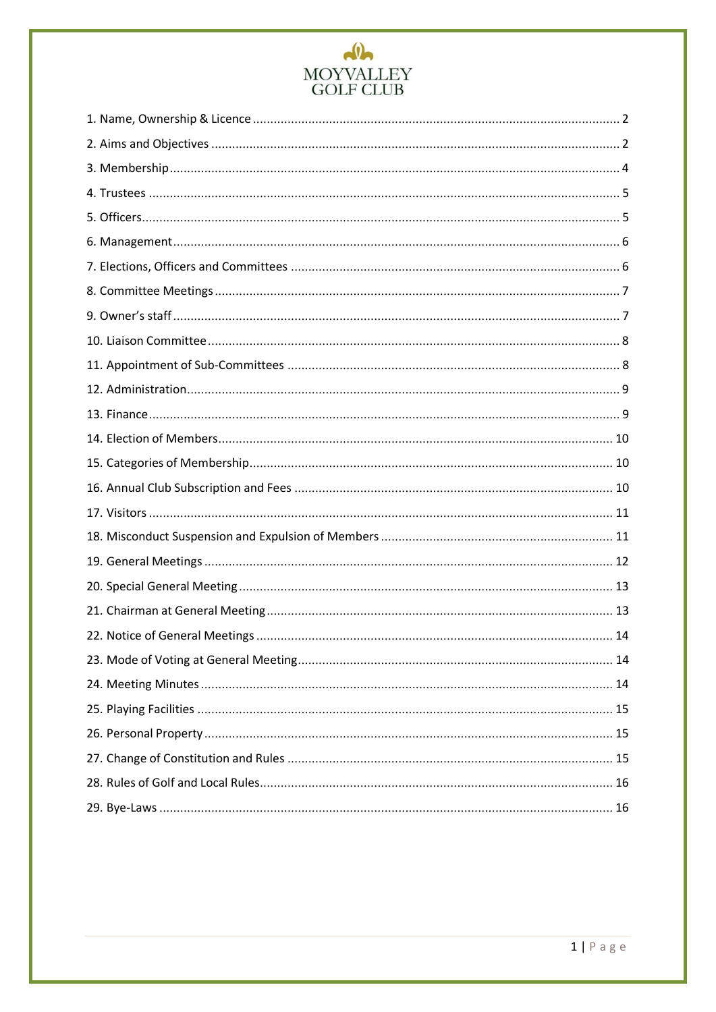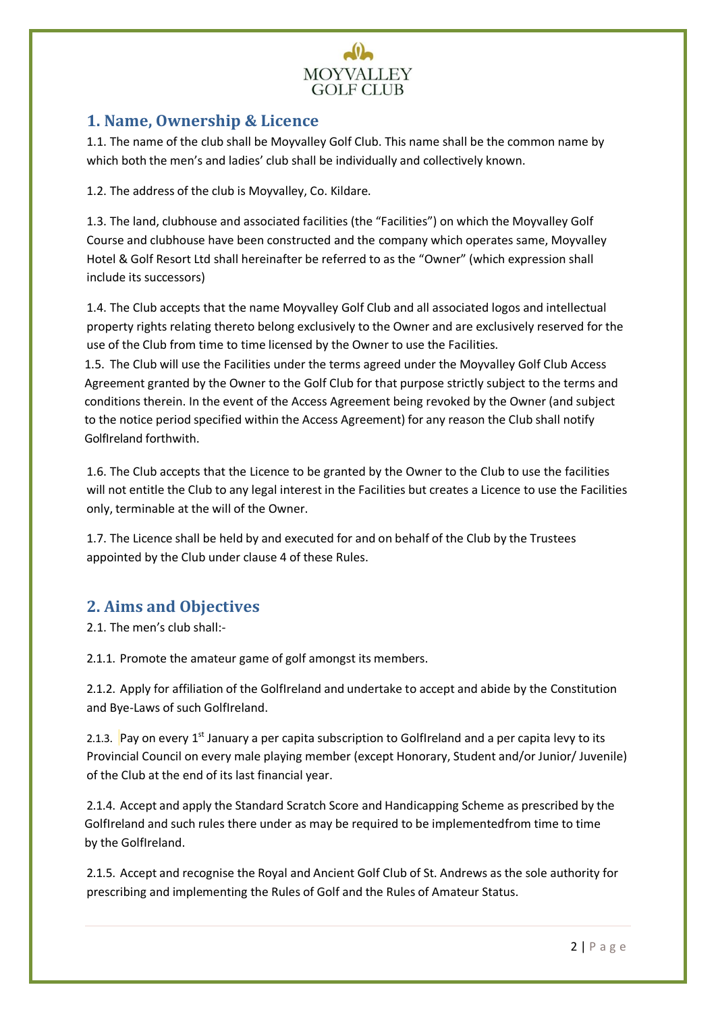

# <span id="page-2-0"></span>**1. Name, Ownership & Licence**

1.1. The name of the club shall be Moyvalley Golf Club. This name shall be the common name by which both the men's and ladies' club shall be individually and collectively known.

1.2. The address of the club is Moyvalley, Co. Kildare.

1.3. The land, clubhouse and associated facilities (the "Facilities") on which the Moyvalley Golf Course and clubhouse have been constructed and the company which operates same, Moyvalley Hotel & Golf Resort Ltd shall hereinafter be referred to as the "Owner" (which expression shall include its successors)

1.4. The Club accepts that the name Moyvalley Golf Club and all associated logos and intellectual property rights relating thereto belong exclusively to the Owner and are exclusively reserved for the use of the Club from time to time licensed by the Owner to use the Facilities.

1.5. The Club will use the Facilities under the terms agreed under the Moyvalley Golf Club Access Agreement granted by the Owner to the Golf Club for that purpose strictly subject to the terms and conditions therein. In the event of the Access Agreement being revoked by the Owner (and subject to the notice period specified within the Access Agreement) for any reason the Club shall notify GolfIreland forthwith.

1.6. The Club accepts that the Licence to be granted by the Owner to the Club to use the facilities will not entitle the Club to any legal interest in the Facilities but creates a Licence to use the Facilities only, terminable at the will of the Owner.

1.7. The Licence shall be held by and executed for and on behalf of the Club by the Trustees appointed by the Club under clause 4 of these Rules.

# <span id="page-2-1"></span>**2. Aims and Objectives**

2.1. The men's club shall:-

2.1.1. Promote the amateur game of golf amongst its members.

2.1.2. Apply for affiliation of the GolfIreland and undertake to accept and abide by the Constitution and Bye-Laws of such GolfIreland.

2.1.3. Pay on every 1<sup>st</sup> January a per capita subscription to GolfIreland and a per capita levy to its Provincial Council on every male playing member (except Honorary, Student and/or Junior/ Juvenile) of the Club at the end of its last financial year.

2.1.4. Accept and apply the Standard Scratch Score and Handicapping Scheme as prescribed by the GolfIreland and such rules there under as may be required to be implementedfrom time to time by the GolfIreland.

2.1.5. Accept and recognise the Royal and Ancient Golf Club of St. Andrews as the sole authority for prescribing and implementing the Rules of Golf and the Rules of Amateur Status.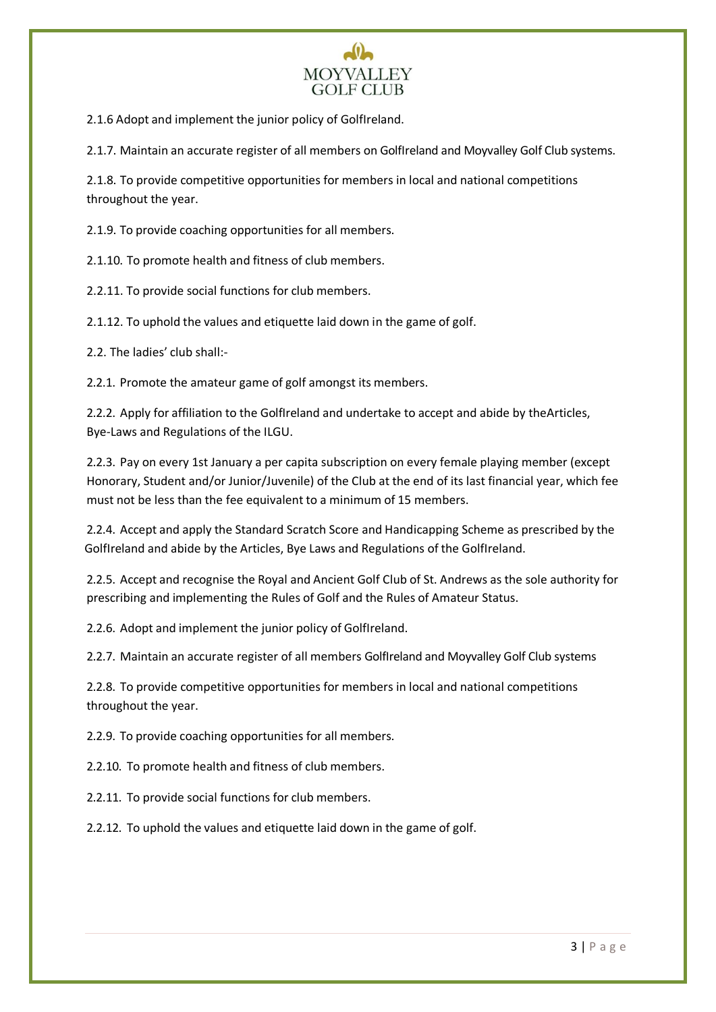

2.1.6 Adopt and implement the junior policy of GolfIreland.

2.1.7. Maintain an accurate register of all members on GolfIreland and Moyvalley Golf Club systems.

2.1.8. To provide competitive opportunities for members in local and national competitions throughout the year.

2.1.9. To provide coaching opportunities for all members.

2.1.10. To promote health and fitness of club members.

2.2.11. To provide social functions for club members.

2.1.12. To uphold the values and etiquette laid down in the game of golf.

2.2. The ladies' club shall:-

2.2.1. Promote the amateur game of golf amongst its members.

2.2.2. Apply for affiliation to the GolfIreland and undertake to accept and abide by theArticles, Bye-Laws and Regulations of the ILGU.

2.2.3. Pay on every 1st January a per capita subscription on every female playing member (except Honorary, Student and/or Junior/Juvenile) of the Club at the end of its last financial year, which fee must not be less than the fee equivalent to a minimum of 15 members.

2.2.4. Accept and apply the Standard Scratch Score and Handicapping Scheme as prescribed by the GolfIreland and abide by the Articles, Bye Laws and Regulations of the GolfIreland.

2.2.5. Accept and recognise the Royal and Ancient Golf Club of St. Andrews as the sole authority for prescribing and implementing the Rules of Golf and the Rules of Amateur Status.

2.2.6. Adopt and implement the junior policy of GolfIreland.

2.2.7. Maintain an accurate register of all members GolfIreland and Moyvalley Golf Club systems

2.2.8. To provide competitive opportunities for members in local and national competitions throughout the year.

2.2.9. To provide coaching opportunities for all members.

2.2.10. To promote health and fitness of club members.

2.2.11. To provide social functions for club members.

2.2.12. To uphold the values and etiquette laid down in the game of golf.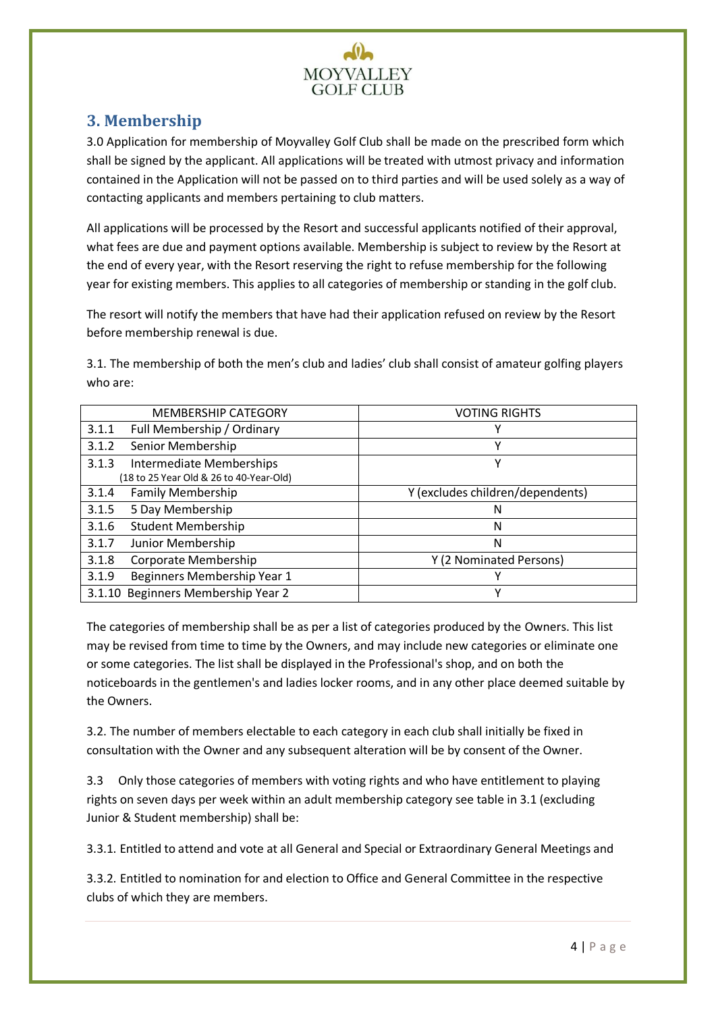

# <span id="page-4-0"></span>**3. Membership**

3.0 Application for membership of Moyvalley Golf Club shall be made on the prescribed form which shall be signed by the applicant. All applications will be treated with utmost privacy and information contained in the Application will not be passed on to third parties and will be used solely as a way of contacting applicants and members pertaining to club matters.

All applications will be processed by the Resort and successful applicants notified of their approval, what fees are due and payment options available. Membership is subject to review by the Resort at the end of every year, with the Resort reserving the right to refuse membership for the following year for existing members. This applies to all categories of membership or standing in the golf club.

The resort will notify the members that have had their application refused on review by the Resort before membership renewal is due.

3.1. The membership of both the men's club and ladies' club shall consist of amateur golfing players who are:

|                                         | <b>MEMBERSHIP CATEGORY</b>         | <b>VOTING RIGHTS</b>             |  |
|-----------------------------------------|------------------------------------|----------------------------------|--|
| 3.1.1                                   | Full Membership / Ordinary         | Y                                |  |
| 3.1.2                                   | Senior Membership                  | Υ                                |  |
| 3.1.3                                   | Intermediate Memberships           | v                                |  |
| (18 to 25 Year Old & 26 to 40-Year-Old) |                                    |                                  |  |
| 3.1.4                                   | <b>Family Membership</b>           | Y (excludes children/dependents) |  |
| 3.1.5                                   | 5 Day Membership                   | Ν                                |  |
| 3.1.6                                   | <b>Student Membership</b>          | N                                |  |
| 3.1.7                                   | Junior Membership                  | N                                |  |
| 3.1.8                                   | Corporate Membership               | Y (2 Nominated Persons)          |  |
| 3.1.9                                   | Beginners Membership Year 1        | v                                |  |
|                                         | 3.1.10 Beginners Membership Year 2 | v                                |  |

The categories of membership shall be as per a list of categories produced by the Owners. This list may be revised from time to time by the Owners, and may include new categories or eliminate one or some categories. The list shall be displayed in the Professional's shop, and on both the noticeboards in the gentlemen's and ladies locker rooms, and in any other place deemed suitable by the Owners.

3.2. The number of members electable to each category in each club shall initially be fixed in consultation with the Owner and any subsequent alteration will be by consent of the Owner.

3.3 Only those categories of members with voting rights and who have entitlement to playing rights on seven days per week within an adult membership category see table in 3.1 (excluding Junior & Student membership) shall be:

3.3.1. Entitled to attend and vote at all General and Special or Extraordinary General Meetings and

3.3.2. Entitled to nomination for and election to Office and General Committee in the respective clubs of which they are members.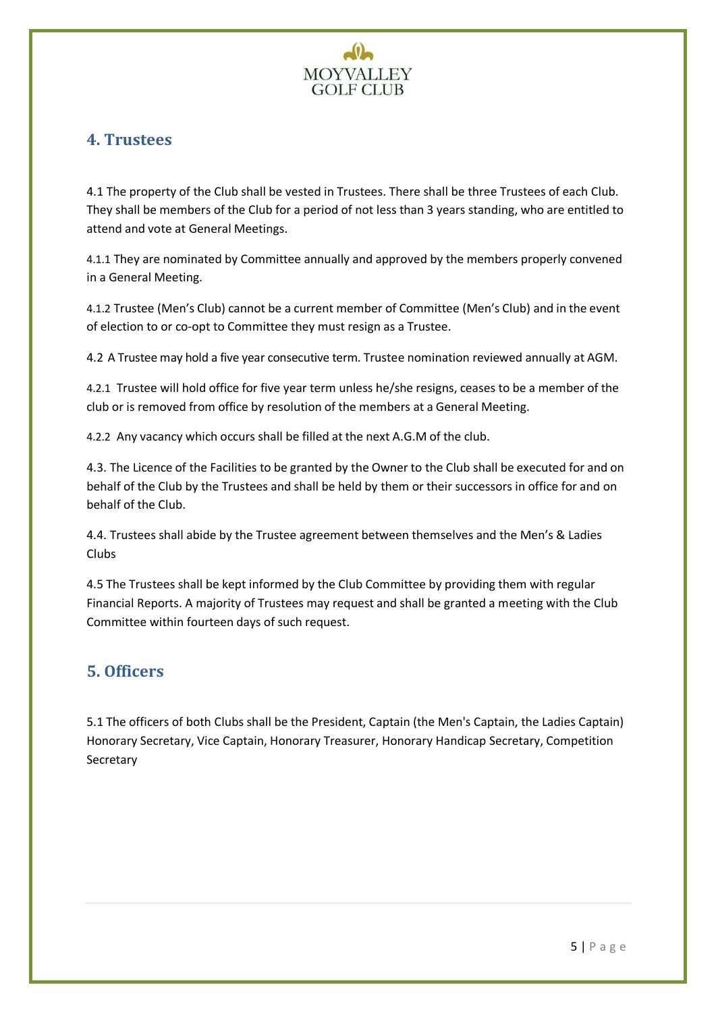

# <span id="page-5-0"></span>**4. Trustees**

4.1 The property of the Club shall be vested in Trustees. There shall be three Trustees of each Club. They shall be members of the Club for a period of not less than 3 years standing, who are entitled to attend and vote at General Meetings.

4.1.1 They are nominated by Committee annually and approved by the members properly convened in a General Meeting.

4.1.2 Trustee (Men's Club) cannot be a current member of Committee (Men's Club) and in the event of election to or co-opt to Committee they must resign as a Trustee.

4.2 A Trustee may hold a five year consecutive term. Trustee nomination reviewed annually at AGM.

4.2.1 Trustee will hold office for five year term unless he/she resigns, ceases to be a member of the club or is removed from office by resolution of the members at a General Meeting.

4.2.2 Any vacancy which occurs shall be filled at the next A.G.M of the club.

4.3. The Licence of the Facilities to be granted by the Owner to the Club shall be executed for and on behalf of the Club by the Trustees and shall be held by them or their successors in office for and on behalf of the Club.

4.4. Trustees shall abide by the Trustee agreement between themselves and the Men's & Ladies Clubs

4.5 The Trustees shall be kept informed by the Club Committee by providing them with regular Financial Reports. A majority of Trustees may request and shall be granted a meeting with the Club Committee within fourteen days of such request.

# <span id="page-5-1"></span>**5. Officers**

5.1 The officers of both Clubs shall be the President, Captain (the Men's Captain, the Ladies Captain) Honorary Secretary, Vice Captain, Honorary Treasurer, Honorary Handicap Secretary, Competition Secretary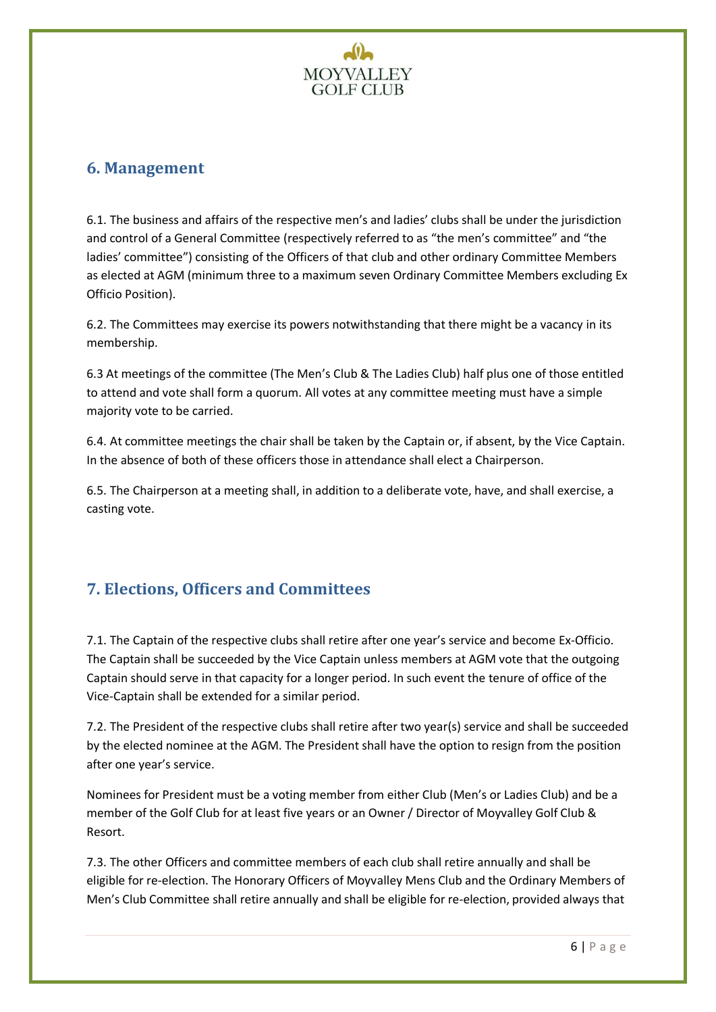

# <span id="page-6-0"></span>**6. Management**

6.1. The business and affairs of the respective men's and ladies' clubs shall be under the jurisdiction and control of a General Committee (respectively referred to as "the men's committee" and "the ladies' committee") consisting of the Officers of that club and other ordinary Committee Members as elected at AGM (minimum three to a maximum seven Ordinary Committee Members excluding Ex Officio Position).

6.2. The Committees may exercise its powers notwithstanding that there might be a vacancy in its membership.

6.3 At meetings of the committee (The Men's Club & The Ladies Club) half plus one of those entitled to attend and vote shall form a quorum. All votes at any committee meeting must have a simple majority vote to be carried.

6.4. At committee meetings the chair shall be taken by the Captain or, if absent, by the Vice Captain. In the absence of both of these officers those in attendance shall elect a Chairperson.

6.5. The Chairperson at a meeting shall, in addition to a deliberate vote, have, and shall exercise, a casting vote.

# <span id="page-6-1"></span>**7. Elections, Officers and Committees**

7.1. The Captain of the respective clubs shall retire after one year's service and become Ex-Officio. The Captain shall be succeeded by the Vice Captain unless members at AGM vote that the outgoing Captain should serve in that capacity for a longer period. In such event the tenure of office of the Vice-Captain shall be extended for a similar period.

7.2. The President of the respective clubs shall retire after two year(s) service and shall be succeeded by the elected nominee at the AGM. The President shall have the option to resign from the position after one year's service.

Nominees for President must be a voting member from either Club (Men's or Ladies Club) and be a member of the Golf Club for at least five years or an Owner / Director of Moyvalley Golf Club & Resort.

7.3. The other Officers and committee members of each club shall retire annually and shall be eligible for re-election. The Honorary Officers of Moyvalley Mens Club and the Ordinary Members of Men's Club Committee shall retire annually and shall be eligible for re-election, provided always that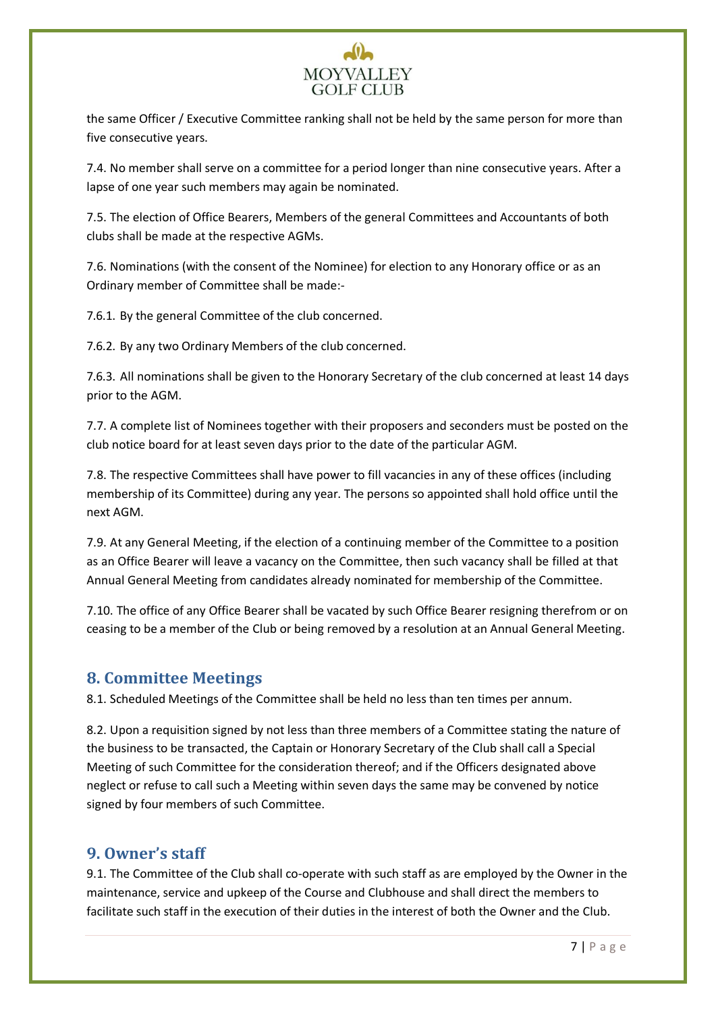# **MOYVALLEY GOLF CLUB**

the same Officer / Executive Committee ranking shall not be held by the same person for more than five consecutive years.

7.4. No member shall serve on a committee for a period longer than nine consecutive years. After a lapse of one year such members may again be nominated.

7.5. The election of Office Bearers, Members of the general Committees and Accountants of both clubs shall be made at the respective AGMs.

7.6. Nominations (with the consent of the Nominee) for election to any Honorary office or as an Ordinary member of Committee shall be made:-

7.6.1. By the general Committee of the club concerned.

7.6.2. By any two Ordinary Members of the club concerned.

7.6.3. All nominations shall be given to the Honorary Secretary of the club concerned at least 14 days prior to the AGM.

7.7. A complete list of Nominees together with their proposers and seconders must be posted on the club notice board for at least seven days prior to the date of the particular AGM.

7.8. The respective Committees shall have power to fill vacancies in any of these offices (including membership of its Committee) during any year. The persons so appointed shall hold office until the next AGM.

7.9. At any General Meeting, if the election of a continuing member of the Committee to a position as an Office Bearer will leave a vacancy on the Committee, then such vacancy shall be filled at that Annual General Meeting from candidates already nominated for membership of the Committee.

7.10. The office of any Office Bearer shall be vacated by such Office Bearer resigning therefrom or on ceasing to be a member of the Club or being removed by a resolution at an Annual General Meeting.

## <span id="page-7-0"></span>**8. Committee Meetings**

8.1. Scheduled Meetings of the Committee shall be held no less than ten times per annum.

8.2. Upon a requisition signed by not less than three members of a Committee stating the nature of the business to be transacted, the Captain or Honorary Secretary of the Club shall call a Special Meeting of such Committee for the consideration thereof; and if the Officers designated above neglect or refuse to call such a Meeting within seven days the same may be convened by notice signed by four members of such Committee.

# <span id="page-7-1"></span>**9. Owner's staff**

9.1. The Committee of the Club shall co-operate with such staff as are employed by the Owner in the maintenance, service and upkeep of the Course and Clubhouse and shall direct the members to facilitate such staff in the execution of their duties in the interest of both the Owner and the Club.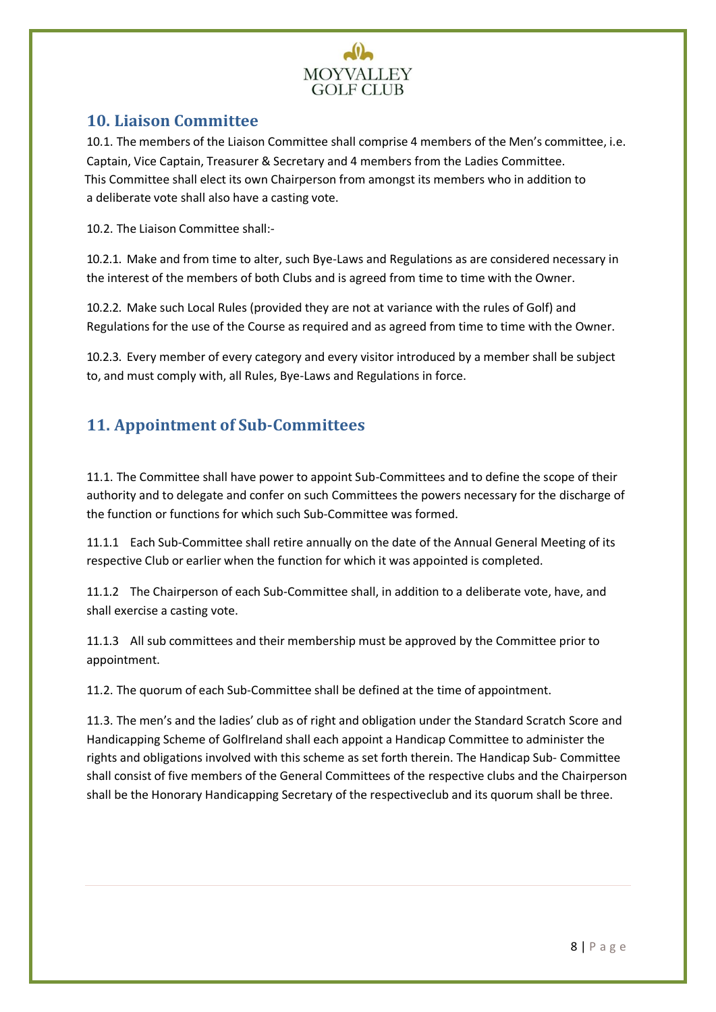

## <span id="page-8-0"></span>**10. Liaison Committee**

10.1. The members of the Liaison Committee shall comprise 4 members of the Men's committee, i.e. Captain, Vice Captain, Treasurer & Secretary and 4 members from the Ladies Committee. This Committee shall elect its own Chairperson from amongst its members who in addition to a deliberate vote shall also have a casting vote.

10.2. The Liaison Committee shall:-

10.2.1. Make and from time to alter, such Bye-Laws and Regulations as are considered necessary in the interest of the members of both Clubs and is agreed from time to time with the Owner.

10.2.2. Make such Local Rules (provided they are not at variance with the rules of Golf) and Regulations for the use of the Course as required and as agreed from time to time with the Owner.

10.2.3. Every member of every category and every visitor introduced by a member shall be subject to, and must comply with, all Rules, Bye-Laws and Regulations in force.

# <span id="page-8-1"></span>**11. Appointment of Sub-Committees**

11.1. The Committee shall have power to appoint Sub-Committees and to define the scope of their authority and to delegate and confer on such Committees the powers necessary for the discharge of the function or functions for which such Sub-Committee was formed.

11.1.1 Each Sub-Committee shall retire annually on the date of the Annual General Meeting of its respective Club or earlier when the function for which it was appointed is completed.

11.1.2 The Chairperson of each Sub-Committee shall, in addition to a deliberate vote, have, and shall exercise a casting vote.

11.1.3 All sub committees and their membership must be approved by the Committee prior to appointment.

11.2. The quorum of each Sub-Committee shall be defined at the time of appointment.

11.3. The men's and the ladies' club as of right and obligation under the Standard Scratch Score and Handicapping Scheme of GolfIreland shall each appoint a Handicap Committee to administer the rights and obligations involved with this scheme as set forth therein. The Handicap Sub- Committee shall consist of five members of the General Committees of the respective clubs and the Chairperson shall be the Honorary Handicapping Secretary of the respectiveclub and its quorum shall be three.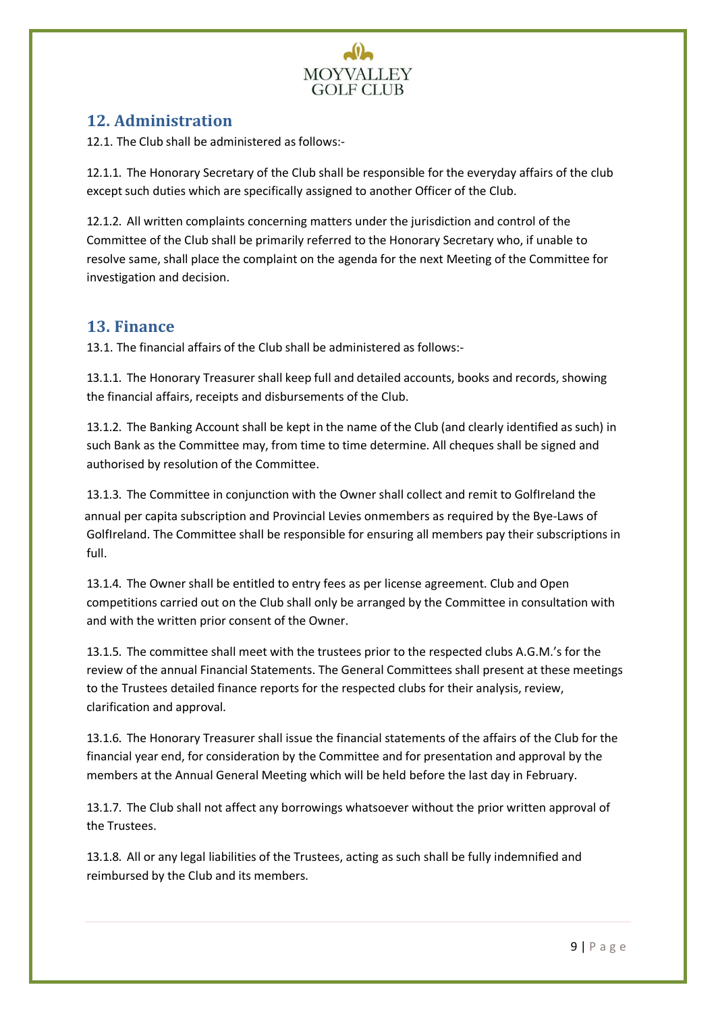

# <span id="page-9-0"></span>**12. Administration**

12.1. The Club shall be administered as follows:-

12.1.1. The Honorary Secretary of the Club shall be responsible for the everyday affairs of the club except such duties which are specifically assigned to another Officer of the Club.

12.1.2. All written complaints concerning matters under the jurisdiction and control of the Committee of the Club shall be primarily referred to the Honorary Secretary who, if unable to resolve same, shall place the complaint on the agenda for the next Meeting of the Committee for investigation and decision.

#### <span id="page-9-1"></span>**13. Finance**

13.1. The financial affairs of the Club shall be administered as follows:-

13.1.1. The Honorary Treasurer shall keep full and detailed accounts, books and records, showing the financial affairs, receipts and disbursements of the Club.

13.1.2. The Banking Account shall be kept in the name of the Club (and clearly identified as such) in such Bank as the Committee may, from time to time determine. All cheques shall be signed and authorised by resolution of the Committee.

13.1.3. The Committee in conjunction with the Owner shall collect and remit to GolfIreland the annual per capita subscription and Provincial Levies onmembers as required by the Bye-Laws of GolfIreland. The Committee shall be responsible for ensuring all members pay their subscriptions in full.

13.1.4. The Owner shall be entitled to entry fees as per license agreement. Club and Open competitions carried out on the Club shall only be arranged by the Committee in consultation with and with the written prior consent of the Owner.

13.1.5. The committee shall meet with the trustees prior to the respected clubs A.G.M.'s for the review of the annual Financial Statements. The General Committees shall present at these meetings to the Trustees detailed finance reports for the respected clubs for their analysis, review, clarification and approval.

13.1.6. The Honorary Treasurer shall issue the financial statements of the affairs of the Club for the financial year end, for consideration by the Committee and for presentation and approval by the members at the Annual General Meeting which will be held before the last day in February.

13.1.7. The Club shall not affect any borrowings whatsoever without the prior written approval of the Trustees.

13.1.8. All or any legal liabilities of the Trustees, acting as such shall be fully indemnified and reimbursed by the Club and its members.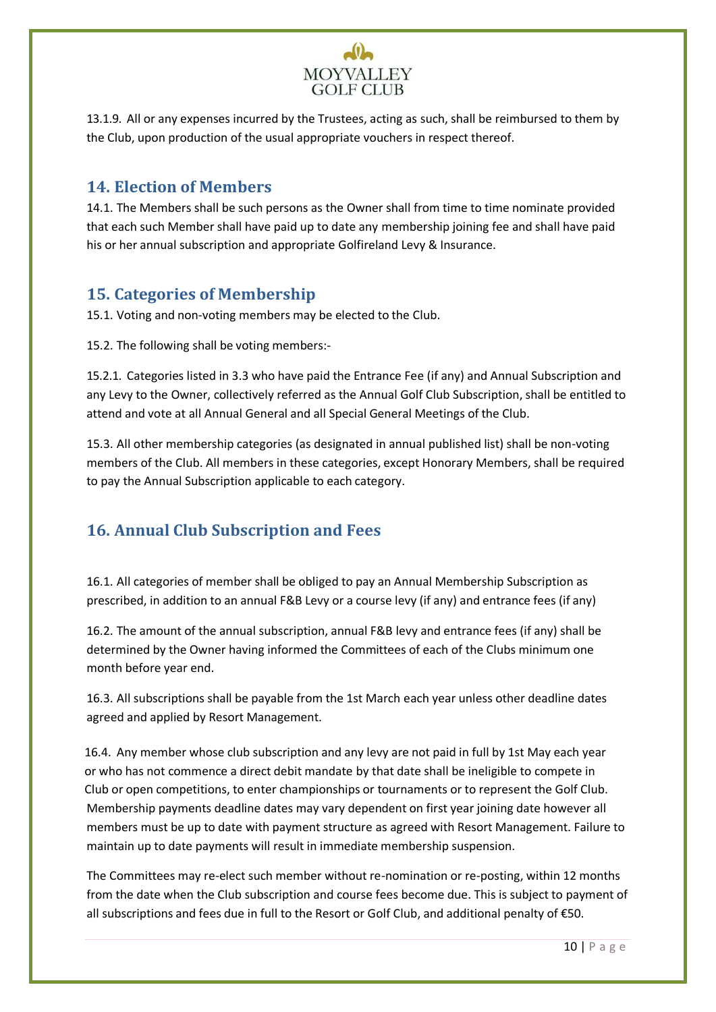

13.1.9. All or any expenses incurred by the Trustees, acting as such, shall be reimbursed to them by the Club, upon production of the usual appropriate vouchers in respect thereof.

## <span id="page-10-0"></span>**14. Election of Members**

14.1. The Members shall be such persons as the Owner shall from time to time nominate provided that each such Member shall have paid up to date any membership joining fee and shall have paid his or her annual subscription and appropriate Golfireland Levy & Insurance.

# <span id="page-10-1"></span>**15. Categories of Membership**

15.1. Voting and non-voting members may be elected to the Club.

15.2. The following shall be voting members:-

15.2.1. Categories listed in 3.3 who have paid the Entrance Fee (if any) and Annual Subscription and any Levy to the Owner, collectively referred as the Annual Golf Club Subscription, shall be entitled to attend and vote at all Annual General and all Special General Meetings of the Club.

15.3. All other membership categories (as designated in annual published list) shall be non-voting members of the Club. All members in these categories, except Honorary Members, shall be required to pay the Annual Subscription applicable to each category.

# <span id="page-10-2"></span>**16. Annual Club Subscription and Fees**

16.1. All categories of member shall be obliged to pay an Annual Membership Subscription as prescribed, in addition to an annual F&B Levy or a course levy (if any) and entrance fees (if any)

16.2. The amount of the annual subscription, annual F&B levy and entrance fees (if any) shall be determined by the Owner having informed the Committees of each of the Clubs minimum one month before year end.

16.3. All subscriptions shall be payable from the 1st March each year unless other deadline dates agreed and applied by Resort Management.

16.4. Any member whose club subscription and any levy are not paid in full by 1st May each year or who has not commence a direct debit mandate by that date shall be ineligible to compete in Club or open competitions, to enter championships or tournaments or to represent the Golf Club. Membership payments deadline dates may vary dependent on first year joining date however all members must be up to date with payment structure as agreed with Resort Management. Failure to maintain up to date payments will result in immediate membership suspension.

The Committees may re-elect such member without re-nomination or re-posting, within 12 months from the date when the Club subscription and course fees become due. This is subject to payment of all subscriptions and fees due in full to the Resort or Golf Club, and additional penalty of €50.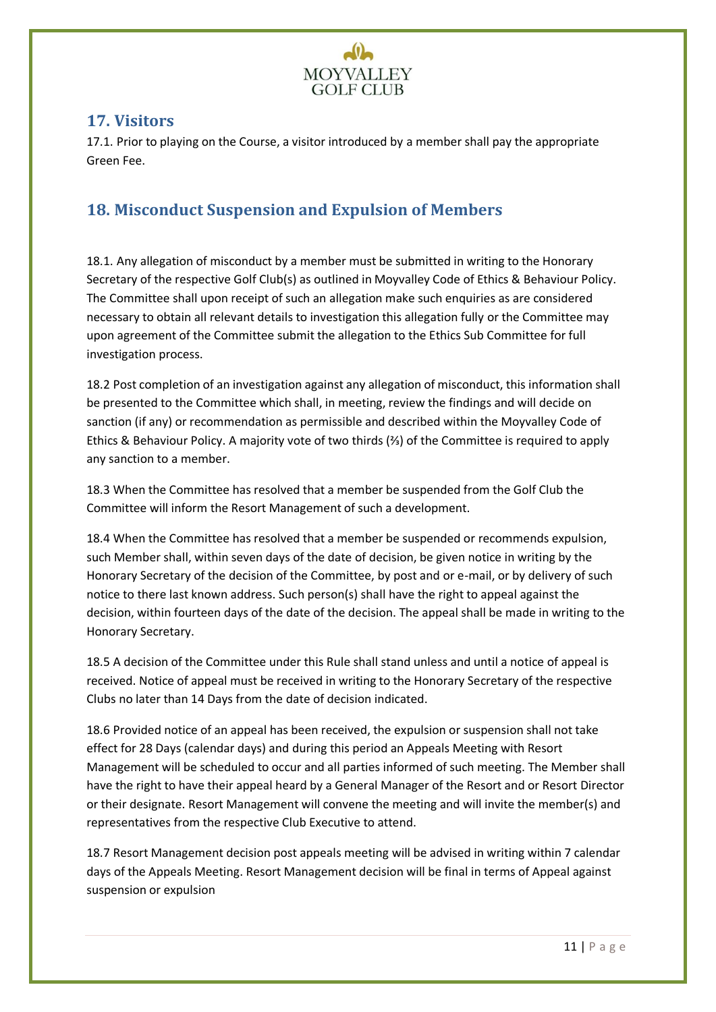

#### <span id="page-11-0"></span>**17. Visitors**

17.1. Prior to playing on the Course, a visitor introduced by a member shall pay the appropriate Green Fee.

# <span id="page-11-1"></span>**18. Misconduct Suspension and Expulsion of Members**

18.1. Any allegation of misconduct by a member must be submitted in writing to the Honorary Secretary of the respective Golf Club(s) as outlined in Moyvalley Code of Ethics & Behaviour Policy. The Committee shall upon receipt of such an allegation make such enquiries as are considered necessary to obtain all relevant details to investigation this allegation fully or the Committee may upon agreement of the Committee submit the allegation to the Ethics Sub Committee for full investigation process.

18.2 Post completion of an investigation against any allegation of misconduct, this information shall be presented to the Committee which shall, in meeting, review the findings and will decide on sanction (if any) or recommendation as permissible and described within the Moyvalley Code of Ethics & Behaviour Policy. A majority vote of two thirds (⅔) of the Committee is required to apply any sanction to a member.

18.3 When the Committee has resolved that a member be suspended from the Golf Club the Committee will inform the Resort Management of such a development.

18.4 When the Committee has resolved that a member be suspended or recommends expulsion, such Member shall, within seven days of the date of decision, be given notice in writing by the Honorary Secretary of the decision of the Committee, by post and or e-mail, or by delivery of such notice to there last known address. Such person(s) shall have the right to appeal against the decision, within fourteen days of the date of the decision. The appeal shall be made in writing to the Honorary Secretary.

18.5 A decision of the Committee under this Rule shall stand unless and until a notice of appeal is received. Notice of appeal must be received in writing to the Honorary Secretary of the respective Clubs no later than 14 Days from the date of decision indicated.

18.6 Provided notice of an appeal has been received, the expulsion or suspension shall not take effect for 28 Days (calendar days) and during this period an Appeals Meeting with Resort Management will be scheduled to occur and all parties informed of such meeting. The Member shall have the right to have their appeal heard by a General Manager of the Resort and or Resort Director or their designate. Resort Management will convene the meeting and will invite the member(s) and representatives from the respective Club Executive to attend.

18.7 Resort Management decision post appeals meeting will be advised in writing within 7 calendar days of the Appeals Meeting. Resort Management decision will be final in terms of Appeal against suspension or expulsion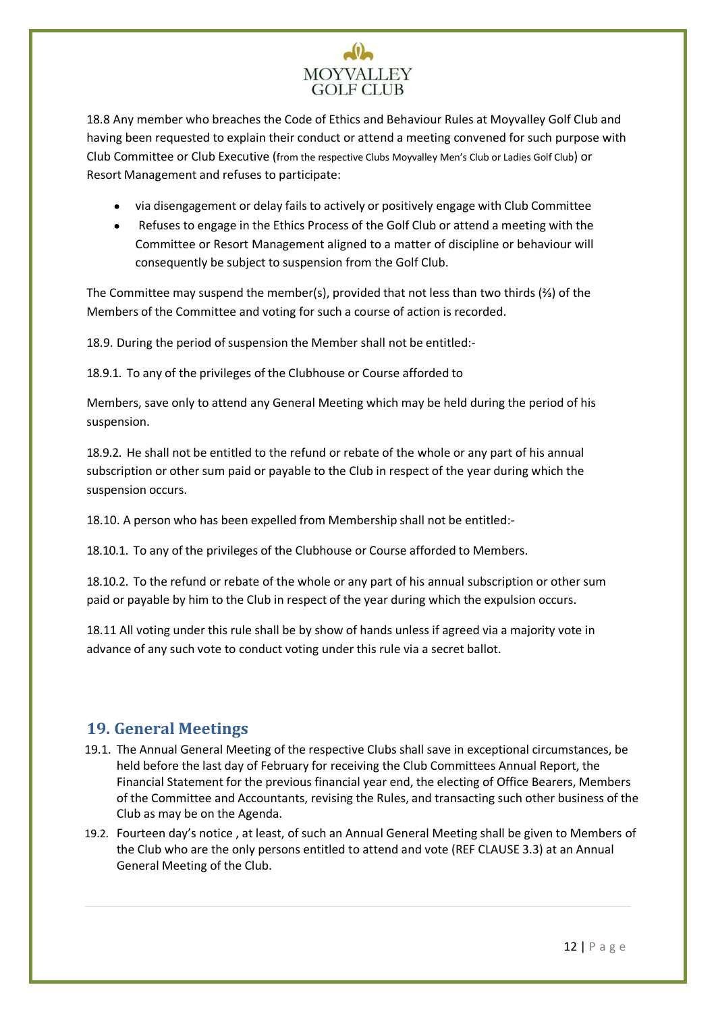# **MOYVALLEY GOLF CLUB**

18.8 Any member who breaches the Code of Ethics and Behaviour Rules at Moyvalley Golf Club and having been requested to explain their conduct or attend a meeting convened for such purpose with Club Committee or Club Executive (from the respective Clubs Moyvalley Men's Club or Ladies Golf Club) or Resort Management and refuses to participate:

- via disengagement or delay fails to actively or positively engage with Club Committee
- Refuses to engage in the Ethics Process of the Golf Club or attend a meeting with the Committee or Resort Management aligned to a matter of discipline or behaviour will consequently be subject to suspension from the Golf Club.

The Committee may suspend the member(s), provided that not less than two thirds (⅔) of the Members of the Committee and voting for such a course of action is recorded.

18.9. During the period of suspension the Member shall not be entitled:-

18.9.1. To any of the privileges of the Clubhouse or Course afforded to

Members, save only to attend any General Meeting which may be held during the period of his suspension.

18.9.2. He shall not be entitled to the refund or rebate of the whole or any part of his annual subscription or other sum paid or payable to the Club in respect of the year during which the suspension occurs.

18.10. A person who has been expelled from Membership shall not be entitled:-

18.10.1. To any of the privileges of the Clubhouse or Course afforded to Members.

18.10.2. To the refund or rebate of the whole or any part of his annual subscription or other sum paid or payable by him to the Club in respect of the year during which the expulsion occurs.

18.11 All voting under this rule shall be by show of hands unless if agreed via a majority vote in advance of any such vote to conduct voting under this rule via a secret ballot.

# <span id="page-12-0"></span>**19. General Meetings**

- 19.1. The Annual General Meeting of the respective Clubs shall save in exceptional circumstances, be held before the last day of February for receiving the Club Committees Annual Report, the Financial Statement for the previous financial year end, the electing of Office Bearers, Members of the Committee and Accountants, revising the Rules, and transacting such other business of the Club as may be on the Agenda.
- 19.2. Fourteen day's notice , at least, of such an Annual General Meeting shall be given to Members of the Club who are the only persons entitled to attend and vote (REF CLAUSE 3.3) at an Annual General Meeting of the Club.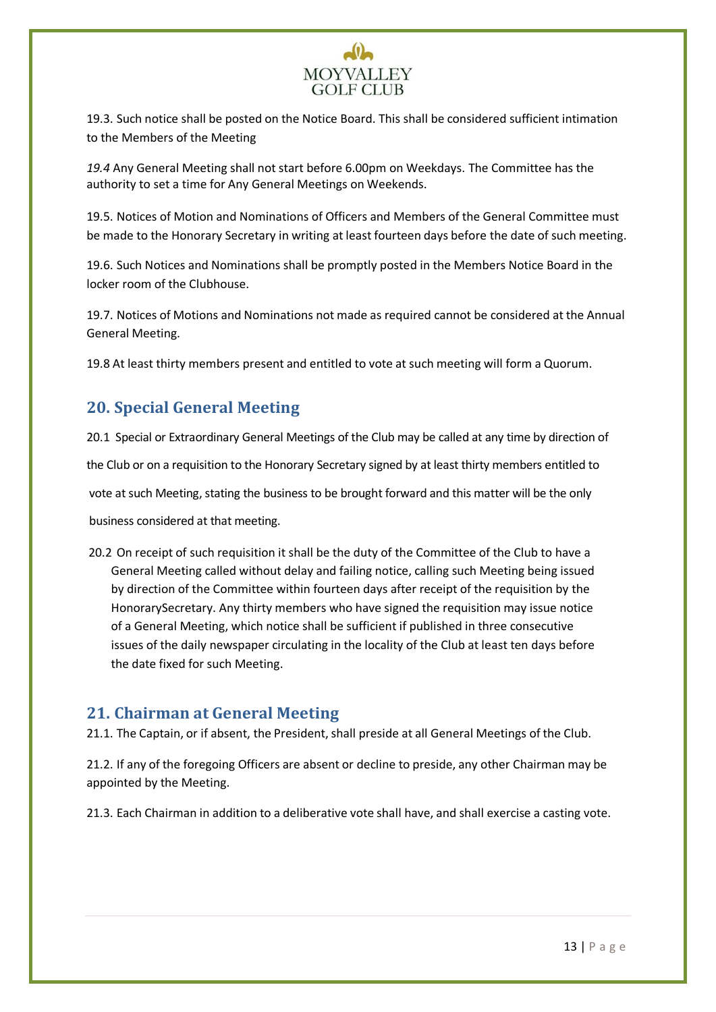# **MOYVALLEY GOLF CLUB**

19.3. Such notice shall be posted on the Notice Board. This shall be considered sufficient intimation to the Members of the Meeting

*19.4* Any General Meeting shall not start before 6.00pm on Weekdays. The Committee has the authority to set a time for Any General Meetings on Weekends.

19.5. Notices of Motion and Nominations of Officers and Members of the General Committee must be made to the Honorary Secretary in writing at least fourteen days before the date of such meeting.

19.6. Such Notices and Nominations shall be promptly posted in the Members Notice Board in the locker room of the Clubhouse.

19.7. Notices of Motions and Nominations not made as required cannot be considered at the Annual General Meeting.

19.8 At least thirty members present and entitled to vote at such meeting will form a Quorum.

# **20. Special General Meeting**

20.1 Special or Extraordinary General Meetings of the Club may be called at any time by direction of the Club or on a requisition to the Honorary Secretary signed by at least thirty members entitled to

vote at such Meeting, stating the business to be brought forward and this matter will be the only

business considered at that meeting.

20.2 On receipt of such requisition it shall be the duty of the Committee of the Club to have a General Meeting called without delay and failing notice, calling such Meeting being issued by direction of the Committee within fourteen days after receipt of the requisition by the HonorarySecretary. Any thirty members who have signed the requisition may issue notice of a General Meeting, which notice shall be sufficient if published in three consecutive issues of the daily newspaper circulating in the locality of the Club at least ten days before the date fixed for such Meeting.

## <span id="page-13-0"></span>**21. Chairman at General Meeting**

21.1. The Captain, or if absent, the President, shall preside at all General Meetings of the Club.

21.2. If any of the foregoing Officers are absent or decline to preside, any other Chairman may be appointed by the Meeting.

21.3. Each Chairman in addition to a deliberative vote shall have, and shall exercise a casting vote.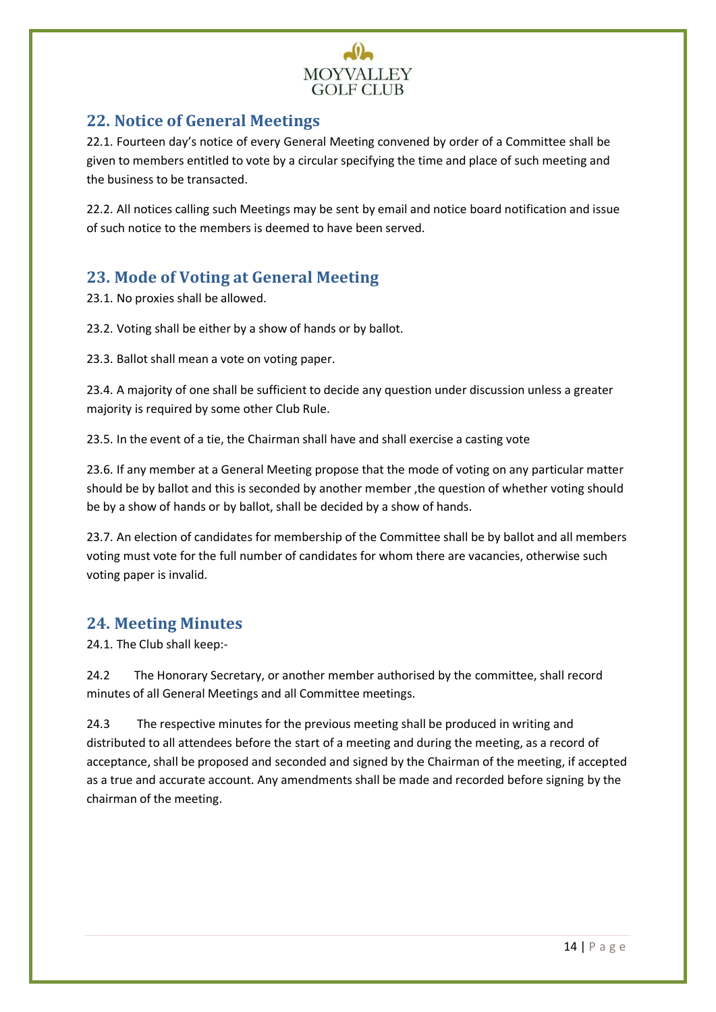

# <span id="page-14-0"></span>**22. Notice of General Meetings**

22.1. Fourteen day's notice of every General Meeting convened by order of a Committee shall be given to members entitled to vote by a circular specifying the time and place of such meeting and the business to be transacted.

22.2. All notices calling such Meetings may be sent by email and notice board notification and issue of such notice to the members is deemed to have been served.

# <span id="page-14-1"></span>**23. Mode of Voting at General Meeting**

23.1. No proxies shall be allowed.

23.2. Voting shall be either by a show of hands or by ballot.

23.3. Ballot shall mean a vote on voting paper.

23.4. A majority of one shall be sufficient to decide any question under discussion unless a greater majority is required by some other Club Rule.

23.5. In the event of a tie, the Chairman shall have and shall exercise a casting vote

23.6. If any member at a General Meeting propose that the mode of voting on any particular matter should be by ballot and this is seconded by another member ,the question of whether voting should be by a show of hands or by ballot, shall be decided by a show of hands.

23.7. An election of candidates for membership of the Committee shall be by ballot and all members voting must vote for the full number of candidates for whom there are vacancies, otherwise such voting paper is invalid.

# <span id="page-14-2"></span>**24. Meeting Minutes**

24.1. The Club shall keep:-

24.2 The Honorary Secretary, or another member authorised by the committee, shall record minutes of all General Meetings and all Committee meetings.

24.3 The respective minutes for the previous meeting shall be produced in writing and distributed to all attendees before the start of a meeting and during the meeting, as a record of acceptance, shall be proposed and seconded and signed by the Chairman of the meeting, if accepted as a true and accurate account. Any amendments shall be made and recorded before signing by the chairman of the meeting.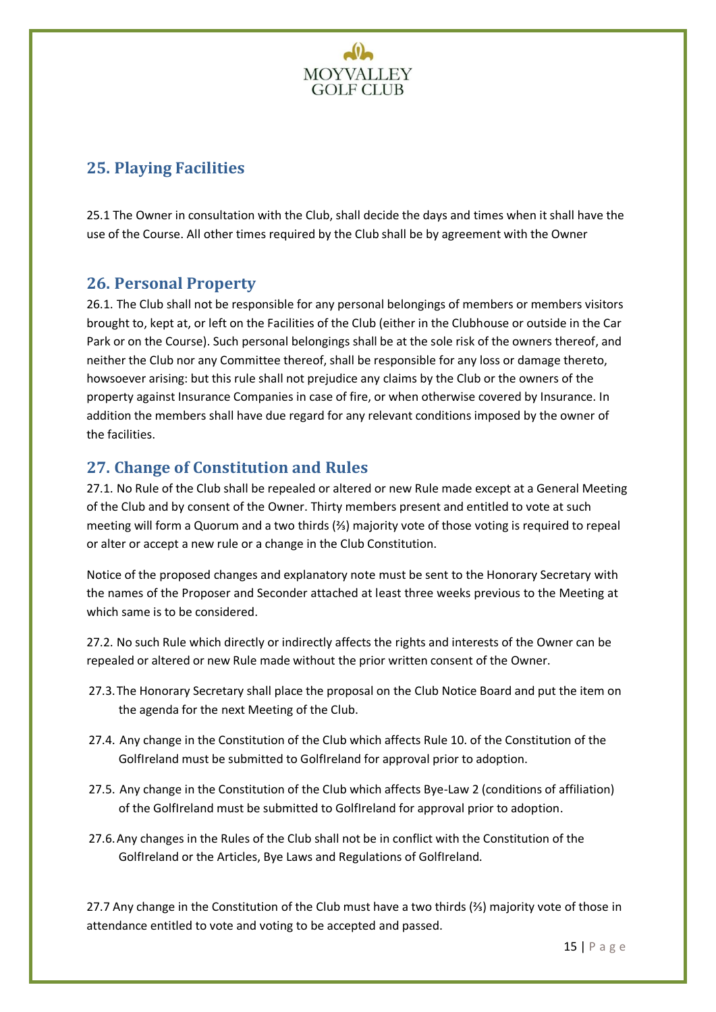

# <span id="page-15-0"></span>**25. Playing Facilities**

25.1 The Owner in consultation with the Club, shall decide the days and times when it shall have the use of the Course. All other times required by the Club shall be by agreement with the Owner

## <span id="page-15-1"></span>**26. Personal Property**

26.1. The Club shall not be responsible for any personal belongings of members or members visitors brought to, kept at, or left on the Facilities of the Club (either in the Clubhouse or outside in the Car Park or on the Course). Such personal belongings shall be at the sole risk of the owners thereof, and neither the Club nor any Committee thereof, shall be responsible for any loss or damage thereto, howsoever arising: but this rule shall not prejudice any claims by the Club or the owners of the property against Insurance Companies in case of fire, or when otherwise covered by Insurance. In addition the members shall have due regard for any relevant conditions imposed by the owner of the facilities.

# <span id="page-15-2"></span>**27. Change of Constitution and Rules**

27.1. No Rule of the Club shall be repealed or altered or new Rule made except at a General Meeting of the Club and by consent of the Owner. Thirty members present and entitled to vote at such meeting will form a Quorum and a two thirds (⅔) majority vote of those voting is required to repeal or alter or accept a new rule or a change in the Club Constitution.

Notice of the proposed changes and explanatory note must be sent to the Honorary Secretary with the names of the Proposer and Seconder attached at least three weeks previous to the Meeting at which same is to be considered.

27.2. No such Rule which directly or indirectly affects the rights and interests of the Owner can be repealed or altered or new Rule made without the prior written consent of the Owner.

- 27.3.The Honorary Secretary shall place the proposal on the Club Notice Board and put the item on the agenda for the next Meeting of the Club.
- 27.4. Any change in the Constitution of the Club which affects Rule 10. of the Constitution of the GolfIreland must be submitted to GolfIreland for approval prior to adoption.
- 27.5. Any change in the Constitution of the Club which affects Bye-Law 2 (conditions of affiliation) of the GolfIreland must be submitted to GolfIreland for approval prior to adoption.
- 27.6.Any changes in the Rules of the Club shall not be in conflict with the Constitution of the GolfIreland or the Articles, Bye Laws and Regulations of GolfIreland.

27.7 Any change in the Constitution of the Club must have a two thirds (⅔) majority vote of those in attendance entitled to vote and voting to be accepted and passed.